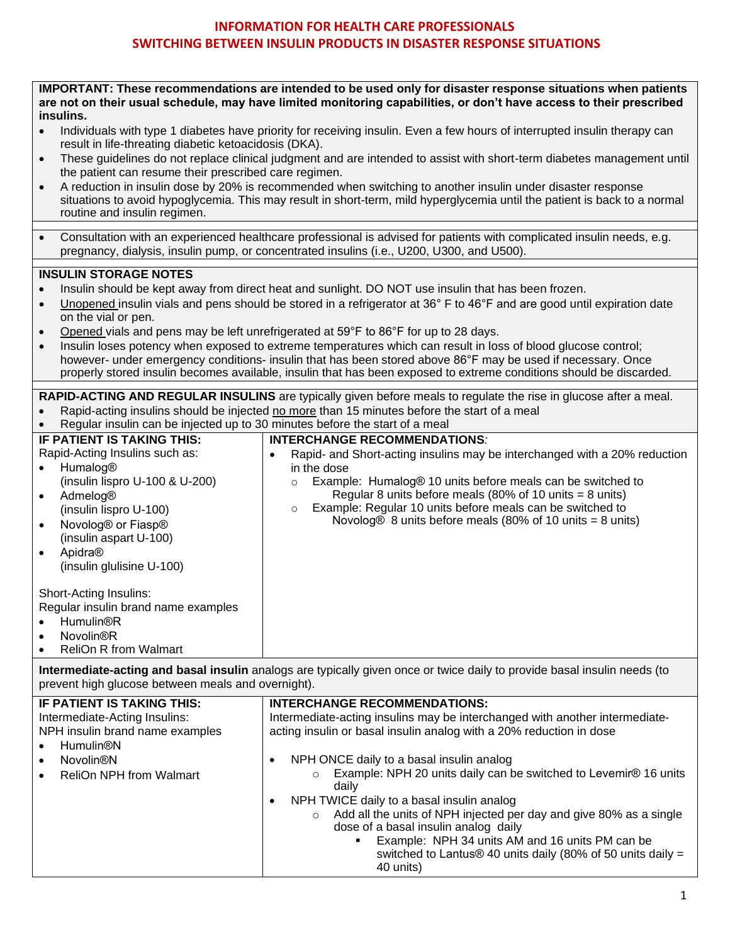# **INFORMATION FOR HEALTH CARE PROFESSIONALS SWITCHING BETWEEN INSULIN PRODUCTS IN DISASTER RESPONSE SITUATIONS**

**IMPORTANT: These recommendations are intended to be used only for disaster response situations when patients are not on their usual schedule, may have limited monitoring capabilities, or don't have access to their prescribed insulins.** • Individuals with type 1 diabetes have priority for receiving insulin. Even a few hours of interrupted insulin therapy can result in life-threating diabetic ketoacidosis (DKA). • These guidelines do not replace clinical judgment and are intended to assist with short-term diabetes management until the patient can resume their prescribed care regimen. • A reduction in insulin dose by 20% is recommended when switching to another insulin under disaster response situations to avoid hypoglycemia. This may result in short-term, mild hyperglycemia until the patient is back to a normal routine and insulin regimen. • Consultation with an experienced healthcare professional is advised for patients with complicated insulin needs, e.g. pregnancy, dialysis, insulin pump, or concentrated insulins (i.e., U200, U300, and U500). **INSULIN STORAGE NOTES** • Insulin should be kept away from direct heat and sunlight. DO NOT use insulin that has been frozen. • Unopened insulin vials and pens should be stored in a refrigerator at 36° F to 46°F and are good until expiration date on the vial or pen. • Opened vials and pens may be left unrefrigerated at 59°F to 86°F for up to 28 days. • Insulin loses potency when exposed to extreme temperatures which can result in loss of blood glucose control: however- under emergency conditions- insulin that has been stored above 86°F may be used if necessary. Once properly stored insulin becomes available, insulin that has been exposed to extreme conditions should be discarded. **RAPID-ACTING AND REGULAR INSULINS** are typically given before meals to regulate the rise in glucose after a meal. • Rapid-acting insulins should be injected no more than 15 minutes before the start of a meal • Regular insulin can be injected up to 30 minutes before the start of a meal **IF PATIENT IS TAKING THIS:** Rapid-Acting Insulins such as: • Humalog® (insulin lispro U-100 & U-200) • Admelog® (insulin lispro U-100) • Novolog® or Fiasp® (insulin aspart U-100) • Apidra® (insulin glulisine U-100) Short-Acting Insulins: Regular insulin brand name examples • Humulin®R • Novolin®R • ReliOn R from Walmart **INTERCHANGE RECOMMENDATIONS***:* • Rapid- and Short-acting insulins may be interchanged with a 20% reduction in the dose o Example: Humalog® 10 units before meals can be switched to Regular 8 units before meals  $(80\% \text{ of } 10 \text{ units} = 8 \text{ units})$ o Example: Regular 10 units before meals can be switched to Novolog $\overline{O}$  8 units before meals (80% of 10 units = 8 units) **Intermediate-acting and basal insulin** analogs are typically given once or twice daily to provide basal insulin needs (to prevent high glucose between meals and overnight). **IF PATIENT IS TAKING THIS:** Intermediate-Acting Insulins: NPH insulin brand name examples • Humulin®N • Novolin®N • ReliOn NPH from Walmart **INTERCHANGE RECOMMENDATIONS:** Intermediate-acting insulins may be interchanged with another intermediateacting insulin or basal insulin analog with a 20% reduction in dose • NPH ONCE daily to a basal insulin analog o Example: NPH 20 units daily can be switched to Levemir® 16 units daily • NPH TWICE daily to a basal insulin analog o Add all the units of NPH injected per day and give 80% as a single dose of a basal insulin analog daily Example: NPH 34 units AM and 16 units PM can be switched to Lantus® 40 units daily (80% of 50 units daily =

40 units)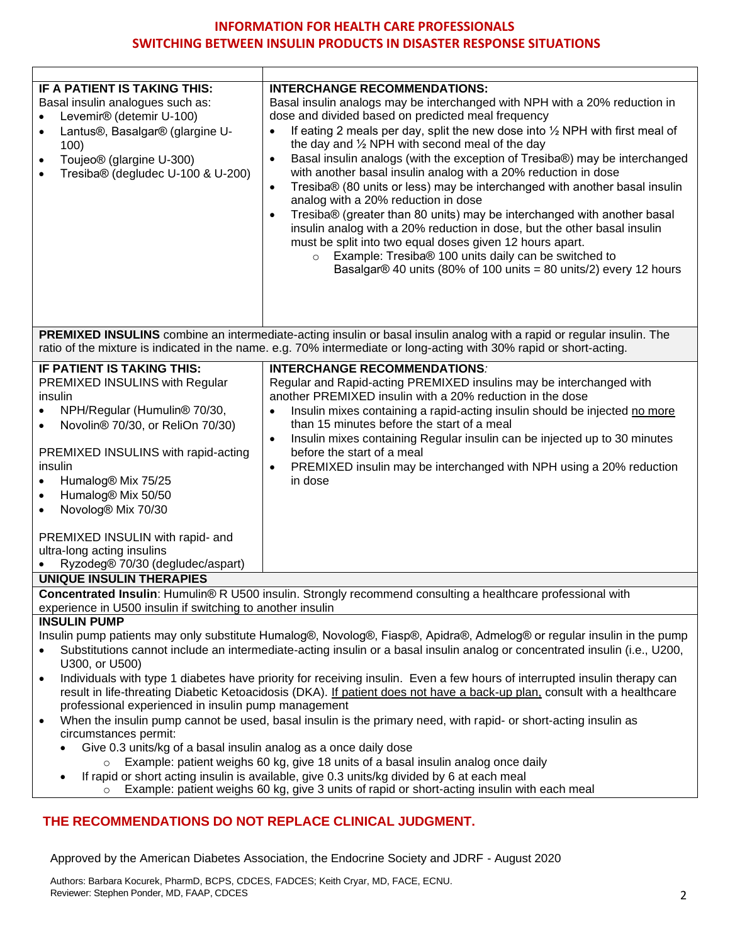# **INFORMATION FOR HEALTH CARE PROFESSIONALS SWITCHING BETWEEN INSULIN PRODUCTS IN DISASTER RESPONSE SITUATIONS**

| IF A PATIENT IS TAKING THIS:<br>Basal insulin analogues such as:<br>Levemir® (detemir U-100)<br>Lantus®, Basalgar® (glargine U-<br>100)<br>Toujeo® (glargine U-300)<br>Tresiba® (degludec U-100 & U-200)                                                                                                                                                                                                     | <b>INTERCHANGE RECOMMENDATIONS:</b><br>Basal insulin analogs may be interchanged with NPH with a 20% reduction in<br>dose and divided based on predicted meal frequency<br>If eating 2 meals per day, split the new dose into $\frac{1}{2}$ NPH with first meal of<br>the day and $\frac{1}{2}$ NPH with second meal of the day<br>Basal insulin analogs (with the exception of Tresiba®) may be interchanged<br>$\bullet$<br>with another basal insulin analog with a 20% reduction in dose<br>Tresiba® (80 units or less) may be interchanged with another basal insulin<br>$\bullet$<br>analog with a 20% reduction in dose<br>Tresiba® (greater than 80 units) may be interchanged with another basal<br>insulin analog with a 20% reduction in dose, but the other basal insulin<br>must be split into two equal doses given 12 hours apart.<br>Example: Tresiba® 100 units daily can be switched to<br>$\circ$<br>Basalgar $@$ 40 units (80% of 100 units = 80 units/2) every 12 hours |  |
|--------------------------------------------------------------------------------------------------------------------------------------------------------------------------------------------------------------------------------------------------------------------------------------------------------------------------------------------------------------------------------------------------------------|----------------------------------------------------------------------------------------------------------------------------------------------------------------------------------------------------------------------------------------------------------------------------------------------------------------------------------------------------------------------------------------------------------------------------------------------------------------------------------------------------------------------------------------------------------------------------------------------------------------------------------------------------------------------------------------------------------------------------------------------------------------------------------------------------------------------------------------------------------------------------------------------------------------------------------------------------------------------------------------------|--|
|                                                                                                                                                                                                                                                                                                                                                                                                              |                                                                                                                                                                                                                                                                                                                                                                                                                                                                                                                                                                                                                                                                                                                                                                                                                                                                                                                                                                                              |  |
| PREMIXED INSULINS combine an intermediate-acting insulin or basal insulin analog with a rapid or regular insulin. The<br>ratio of the mixture is indicated in the name. e.g. 70% intermediate or long-acting with 30% rapid or short-acting.                                                                                                                                                                 |                                                                                                                                                                                                                                                                                                                                                                                                                                                                                                                                                                                                                                                                                                                                                                                                                                                                                                                                                                                              |  |
| IF PATIENT IS TAKING THIS:<br>PREMIXED INSULINS with Regular<br>insulin<br>NPH/Regular (Humulin® 70/30,<br>Novolin® 70/30, or ReliOn 70/30)<br>PREMIXED INSULINS with rapid-acting<br>insulin<br>Humalog® Mix 75/25<br>$\bullet$<br>Humalog® Mix 50/50<br>$\bullet$<br>Novolog® Mix 70/30<br>$\bullet$<br>PREMIXED INSULIN with rapid- and<br>ultra-long acting insulins<br>Ryzodeg® 70/30 (degludec/aspart) | <b>INTERCHANGE RECOMMENDATIONS:</b><br>Regular and Rapid-acting PREMIXED insulins may be interchanged with<br>another PREMIXED insulin with a 20% reduction in the dose<br>Insulin mixes containing a rapid-acting insulin should be injected no more<br>than 15 minutes before the start of a meal<br>Insulin mixes containing Regular insulin can be injected up to 30 minutes<br>$\bullet$<br>before the start of a meal<br>PREMIXED insulin may be interchanged with NPH using a 20% reduction<br>$\bullet$<br>in dose                                                                                                                                                                                                                                                                                                                                                                                                                                                                   |  |
| <b>UNIQUE INSULIN THERAPIES</b>                                                                                                                                                                                                                                                                                                                                                                              |                                                                                                                                                                                                                                                                                                                                                                                                                                                                                                                                                                                                                                                                                                                                                                                                                                                                                                                                                                                              |  |
| Concentrated Insulin: Humulin® R U500 insulin. Strongly recommend consulting a healthcare professional with<br>experience in U500 insulin if switching to another insulin                                                                                                                                                                                                                                    |                                                                                                                                                                                                                                                                                                                                                                                                                                                                                                                                                                                                                                                                                                                                                                                                                                                                                                                                                                                              |  |
| <b>INSULIN PUMP</b><br>U300, or U500)<br>$\bullet$<br>professional experienced in insulin pump management<br>circumstances permit:<br>Give 0.3 units/kg of a basal insulin analog as a once daily dose                                                                                                                                                                                                       | Insulin pump patients may only substitute Humalog®, Novolog®, Fiasp®, Apidra®, Admelog® or regular insulin in the pump<br>Substitutions cannot include an intermediate-acting insulin or a basal insulin analog or concentrated insulin (i.e., U200,<br>Individuals with type 1 diabetes have priority for receiving insulin. Even a few hours of interrupted insulin therapy can<br>result in life-threating Diabetic Ketoacidosis (DKA). If patient does not have a back-up plan, consult with a healthcare<br>When the insulin pump cannot be used, basal insulin is the primary need, with rapid- or short-acting insulin as<br>Example: patient weighs 60 kg, give 18 units of a basal insulin analog once daily                                                                                                                                                                                                                                                                        |  |
| If rapid or short acting insulin is available, give 0.3 units/kg divided by 6 at each meal                                                                                                                                                                                                                                                                                                                   |                                                                                                                                                                                                                                                                                                                                                                                                                                                                                                                                                                                                                                                                                                                                                                                                                                                                                                                                                                                              |  |

#### o Example: patient weighs 60 kg, give 3 units of rapid or short-acting insulin with each meal

# **THE RECOMMENDATIONS DO NOT REPLACE CLINICAL JUDGMENT.**

Approved by the American Diabetes Association, the Endocrine Society and JDRF - August 2020